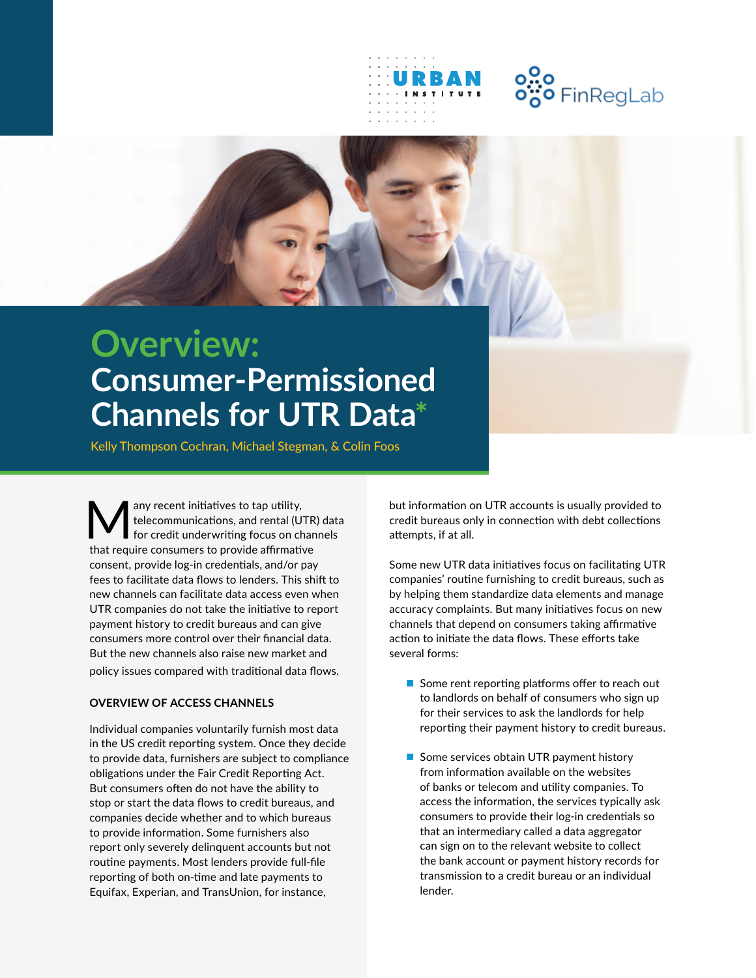



## **Overview: Consumer-Permissioned Channels for UTR Data\***

Kelly Thompson Cochran, Michael Stegman, & Colin Foos

Many recent initiatives to tap utility,<br>telecommunications, and rental (U)<br>that require consumers to provide effectively telecommunications, and rental (UTR) data for credit underwriting focus on channels that require consumers to provide affirmative consent, provide log-in credentials, and/or pay fees to facilitate data flows to lenders. This shift to new channels can facilitate data access even when UTR companies do not take the initiative to report payment history to credit bureaus and can give consumers more control over their financial data. But the new channels also raise new market and policy issues compared with traditional data flows.

## **OVERVIEW OF ACCESS CHANNELS**

Individual companies voluntarily furnish most data in the US credit reporting system. Once they decide to provide data, furnishers are subject to compliance obligations under the Fair Credit Reporting Act. But consumers often do not have the ability to stop or start the data flows to credit bureaus, and companies decide whether and to which bureaus to provide information. Some furnishers also report only severely delinquent accounts but not routine payments. Most lenders provide full-file reporting of both on-time and late payments to Equifax, Experian, and TransUnion, for instance,

but information on UTR accounts is usually provided to credit bureaus only in connection with debt collections attempts, if at all.

Some new UTR data initiatives focus on facilitating UTR companies' routine furnishing to credit bureaus, such as by helping them standardize data elements and manage accuracy complaints. But many initiatives focus on new channels that depend on consumers taking affirmative action to initiate the data flows. These efforts take several forms:

- $\blacksquare$  Some rent reporting platforms offer to reach out to landlords on behalf of consumers who sign up for their services to ask the landlords for help reporting their payment history to credit bureaus.
- Some services obtain UTR payment history from information available on the websites of banks or telecom and utility companies. To access the information, the services typically ask consumers to provide their log-in credentials so that an intermediary called a data aggregator can sign on to the relevant website to collect the bank account or payment history records for transmission to a credit bureau or an individual lender.